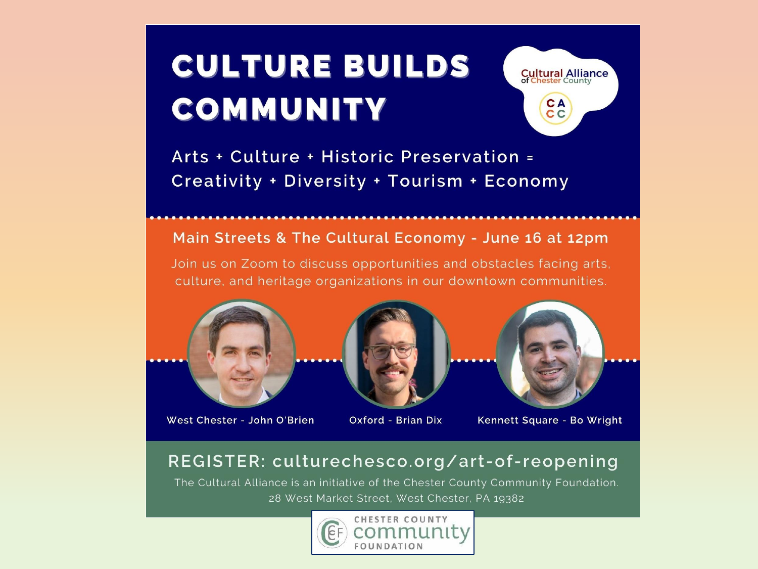# **CULTURE BUILDS** COMMUNITY



Arts + Culture + Historic Preservation = Creativity + Diversity + Tourism + Economy

#### Main Streets & The Cultural Economy - June 16 at 12pm

Join us on Zoom to discuss opportunities and obstacles facing arts. culture, and heritage organizations in our downtown communities.



West Chester - John O'Brien



Oxford - Brian Dix



Kennett Square - Bo Wright

### REGISTER: culturechesco.org/art-of-reopening

The Cultural Alliance is an initiative of the Chester County Community Foundation. 28 West Market Street, West Chester, PA 19382

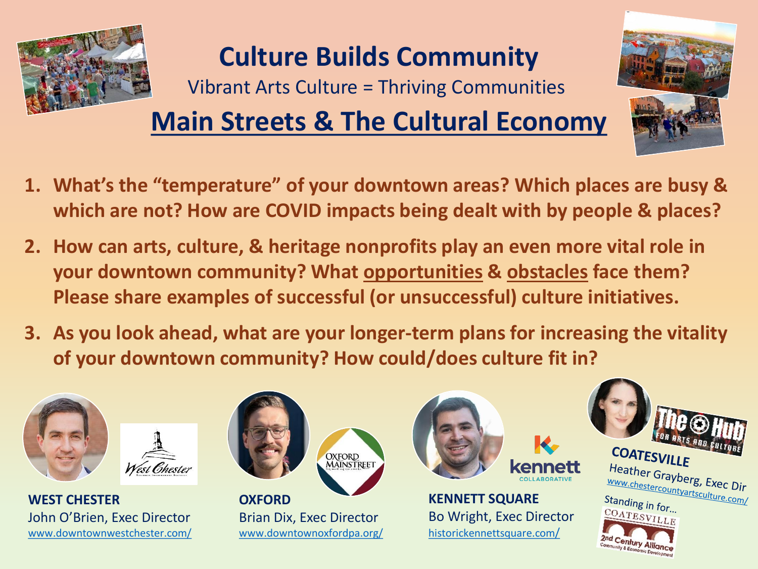

## **Culture Builds Community**

Vibrant Arts Culture = Thriving Communities

## **Main Streets & The Cultural Economy**



- **2. How can arts, culture, & heritage nonprofits play an even more vital role in your downtown community? What opportunities & obstacles face them? Please share examples of successful (or unsuccessful) culture initiatives.**
- **3. As you look ahead, what are your longer-term plans for increasing the vitality of your downtown community? How could/does culture fit in?**



**WEST CHESTER** John O'Brien, Exec Director [www.downtownwestchester.com/](https://www.downtownwestchester.com/)

West Chester





**KENNETT SQUARE** Bo Wright, Exec Director [historickennettsquare.com](https://historickennettsquare.com/)/

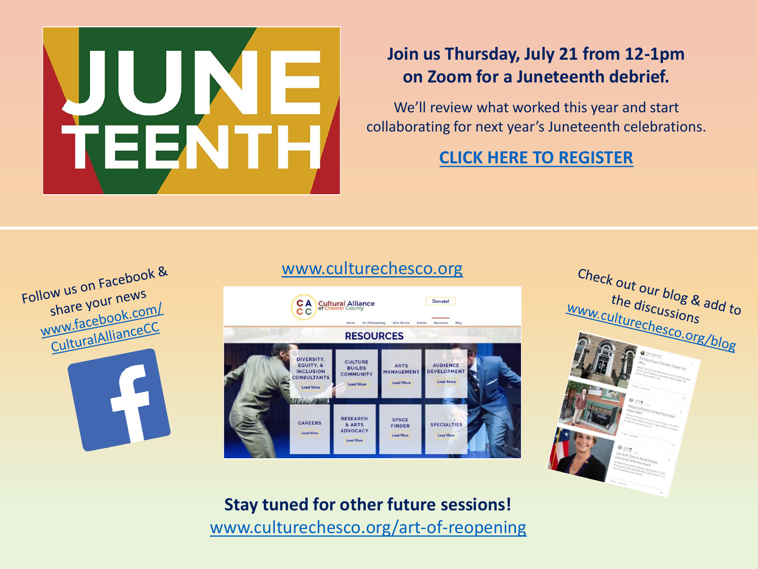

## **Join us Thursday, July 21 from 12-1pm on Zoom for a Juneteenth debrief.**

We'll review what worked this year and start collaborating for next year's Juneteenth celebrations.

**[CLICK HERE TO REGISTER](https://us02web.zoom.us/meeting/register/tZckf-igpzMsEte_teO7z8dp25Y09y2zqvy4)**



#### **CA** Cultural Alliance Donate! **RESOURCES DIVERSITY CULTURE** EQUITY, & **AUDIENCE ARTS BUILDS INCLUSION** MANAGEMENT **DEVELOPMEN COMMUNITY** ONSULTANTS **Load Mon Load More RESEARCH SPACE** CAREERS **SPECIALTIES** & ARTS **FINDER ADVOCACY Load More Load More** Load Mor

[www.culturechesco.org](http://www.culturechesco.org/art-of-reopening)



**Stay tuned for other future sessions!** [www.culturechesco.org/art-of-reopening](http://www.culturechesco.org/art-of-reopening)